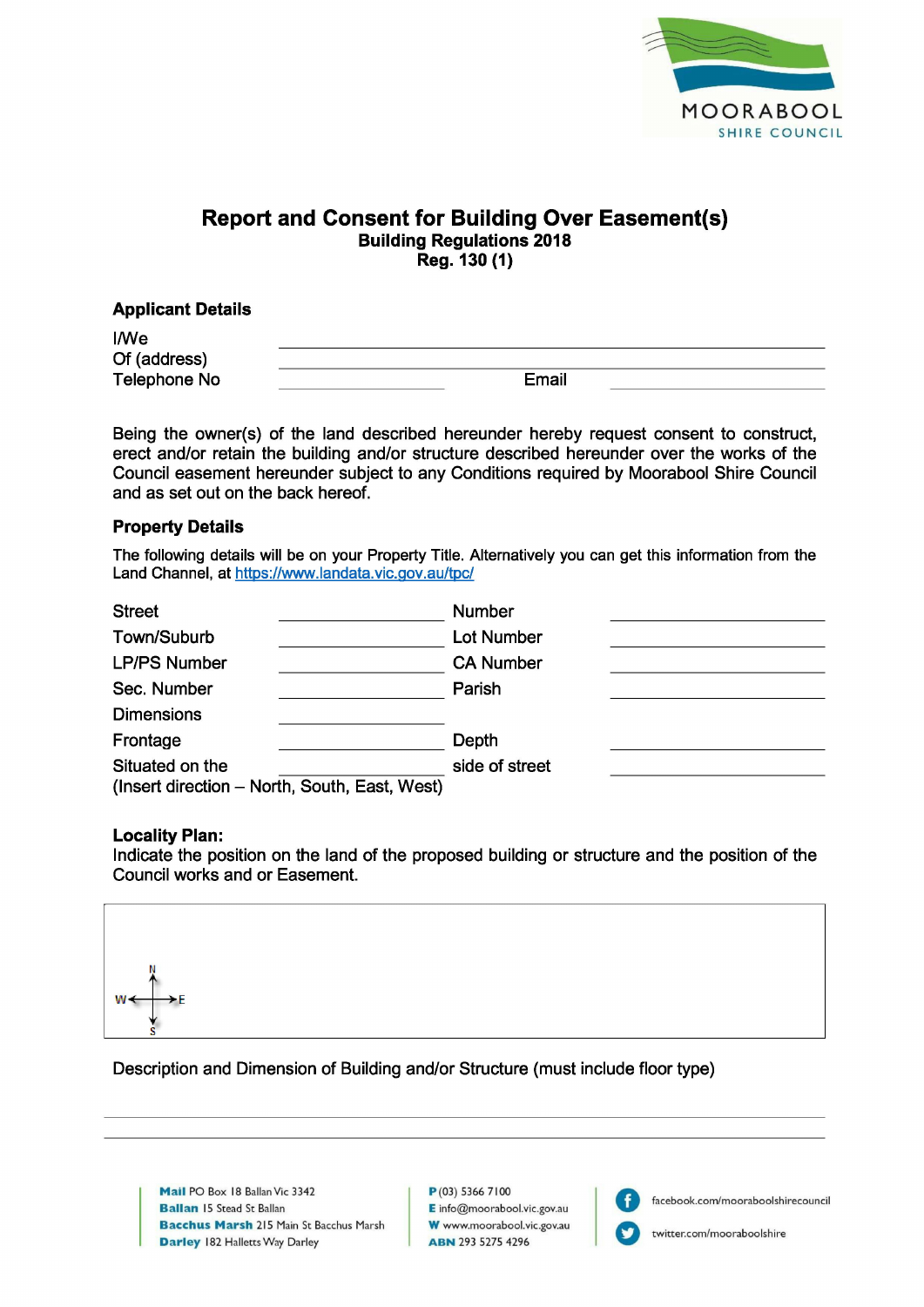

# **Report and Consent for Building Over Easement(s) Building Regulations 2018** Reg. 130 (1)

# **Applicant Details**

**I/We** Of (address) **Telephone No** 

Email

Being the owner(s) of the land described hereunder hereby request consent to construct, erect and/or retain the building and/or structure described hereunder over the works of the Council easement hereunder subject to any Conditions required by Moorabool Shire Council and as set out on the back hereof.

### **Property Details**

The following details will be on your Property Title. Alternatively you can get this information from the Land Channel, at https://www.landata.vic.gov.au/tpc/

| <b>Street</b>                                 | <b>Number</b>     |  |
|-----------------------------------------------|-------------------|--|
| Town/Suburb                                   | <b>Lot Number</b> |  |
| <b>LP/PS Number</b>                           | <b>CA Number</b>  |  |
| Sec. Number                                   | Parish            |  |
| <b>Dimensions</b>                             |                   |  |
| Frontage                                      | Depth             |  |
| Situated on the                               | side of street    |  |
| (Insert direction - North, South, East, West) |                   |  |

### **Locality Plan:**

Indicate the position on the land of the proposed building or structure and the position of the Council works and or Easement.



Description and Dimension of Building and/or Structure (must include floor type)

Mail PO Box 18 Ballan Vic 3342 **Ballan 15 Stead St Ballan Bacchus Marsh 215 Main St Bacchus Marsh Darley 182 Halletts Way Darley** 

 $P(03)$  5366 7100 E info@moorabool.vic.gov.au W www.moorabool.vic.gov.au **ABN 293 5275 4296** 



facebook.com/mooraboolshirecouncil

twitter.com/mooraboolshire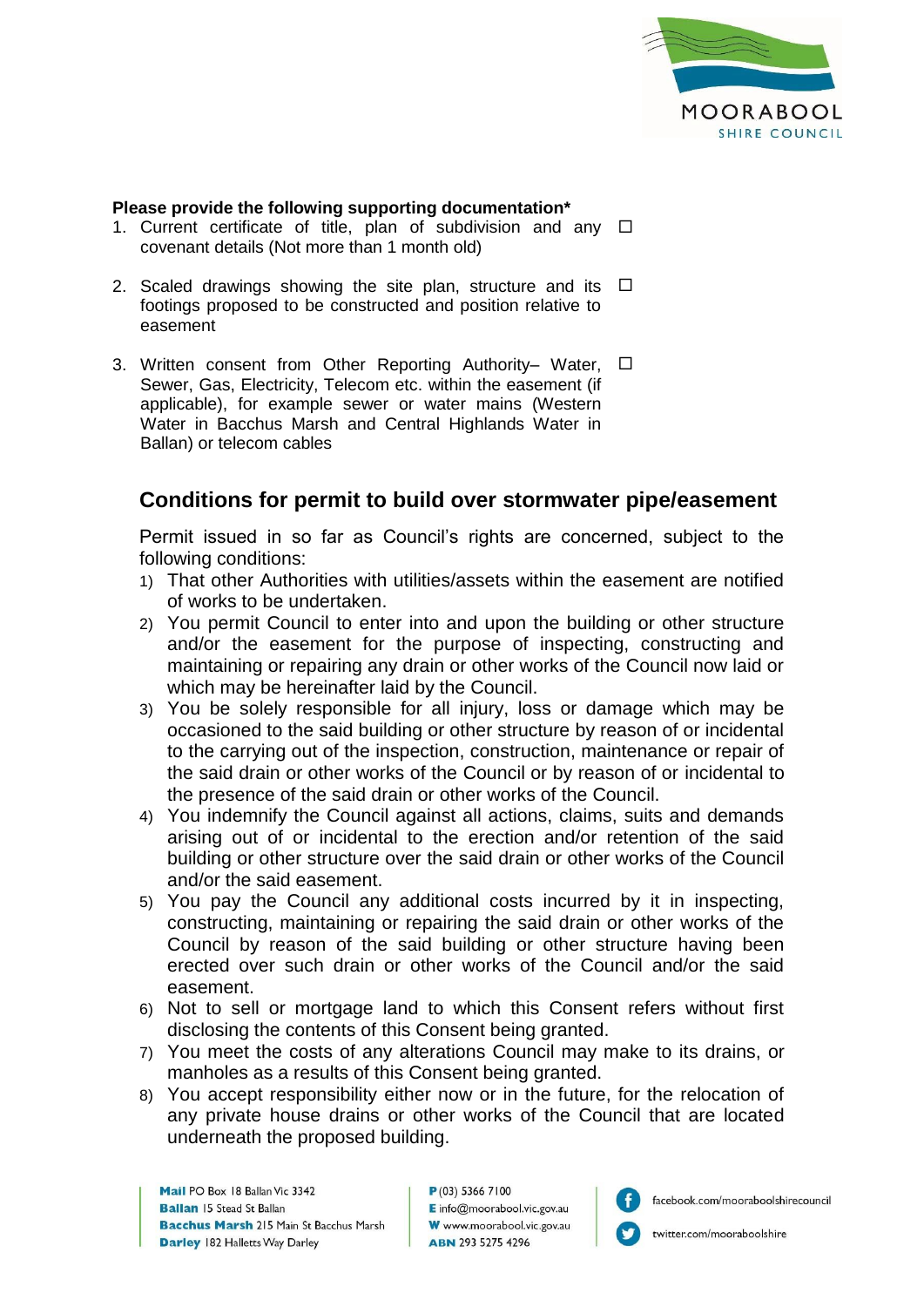

#### **Please provide the following supporting documentation\***

- 1. Current certificate of title, plan of subdivision and any  $\square$ covenant details (Not more than 1 month old)
- 2. Scaled drawings showing the site plan, structure and its  $\Box$ footings proposed to be constructed and position relative to easement
- 3. Written consent from Other Reporting Authority– Water, □ Sewer, Gas, Electricity, Telecom etc. within the easement (if applicable), for example sewer or water mains (Western Water in Bacchus Marsh and Central Highlands Water in Ballan) or telecom cables

# **Conditions for permit to build over stormwater pipe/easement**

Permit issued in so far as Council's rights are concerned, subject to the following conditions:

- 1) That other Authorities with utilities/assets within the easement are notified of works to be undertaken.
- 2) You permit Council to enter into and upon the building or other structure and/or the easement for the purpose of inspecting, constructing and maintaining or repairing any drain or other works of the Council now laid or which may be hereinafter laid by the Council.
- 3) You be solely responsible for all injury, loss or damage which may be occasioned to the said building or other structure by reason of or incidental to the carrying out of the inspection, construction, maintenance or repair of the said drain or other works of the Council or by reason of or incidental to the presence of the said drain or other works of the Council.
- 4) You indemnify the Council against all actions, claims, suits and demands arising out of or incidental to the erection and/or retention of the said building or other structure over the said drain or other works of the Council and/or the said easement.
- 5) You pay the Council any additional costs incurred by it in inspecting, constructing, maintaining or repairing the said drain or other works of the Council by reason of the said building or other structure having been erected over such drain or other works of the Council and/or the said easement.
- 6) Not to sell or mortgage land to which this Consent refers without first disclosing the contents of this Consent being granted.
- 7) You meet the costs of any alterations Council may make to its drains, or manholes as a results of this Consent being granted.
- 8) You accept responsibility either now or in the future, for the relocation of any private house drains or other works of the Council that are located underneath the proposed building.

P(03) 5366 7100  $E$  info $@$ moorabool.vic.gov.au W www.moorabool.vic.gov.au **ABN 293 5275 4296** 



facebook.com/mooraboolshirecouncil